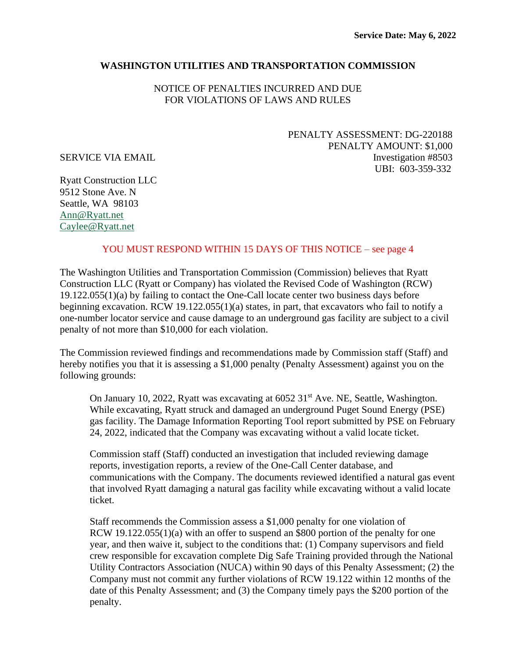## **WASHINGTON UTILITIES AND TRANSPORTATION COMMISSION**

NOTICE OF PENALTIES INCURRED AND DUE FOR VIOLATIONS OF LAWS AND RULES

PENALTY ASSESSMENT: DG-220188 PENALTY AMOUNT: \$1,000 SERVICE VIA EMAIL Investigation #8503 UBI: 603-359-332

Ryatt Construction LLC 9512 Stone Ave. N Seattle, WA 9810[3](mailto:Thompsonexcavating.tei@gmail.com) [Ann@Ryatt.net](mailto:Ann@Ryatt.net) [Caylee@Ryatt.net](mailto:Caylee@Ryatt.net)

#### YOU MUST RESPOND WITHIN 15 DAYS OF THIS NOTICE – see page 4

The Washington Utilities and Transportation Commission (Commission) believes that Ryatt Construction LLC (Ryatt or Company) has violated the Revised Code of Washington (RCW) 19.122.055(1)(a) by failing to contact the One-Call locate center two business days before beginning excavation. RCW 19.122.055(1)(a) states, in part, that excavators who fail to notify a one-number locator service and cause damage to an underground gas facility are subject to a civil penalty of not more than \$10,000 for each violation.

The Commission reviewed findings and recommendations made by Commission staff (Staff) and hereby notifies you that it is assessing a \$1,000 penalty (Penalty Assessment) against you on the following grounds:

On January 10, 2022, Ryatt was excavating at 6052 31<sup>st</sup> Ave. NE, Seattle, Washington. While excavating, Ryatt struck and damaged an underground Puget Sound Energy (PSE) gas facility. The Damage Information Reporting Tool report submitted by PSE on February 24, 2022, indicated that the Company was excavating without a valid locate ticket.

Commission staff (Staff) conducted an investigation that included reviewing damage reports, investigation reports, a review of the One-Call Center database, and communications with the Company. The documents reviewed identified a natural gas event that involved Ryatt damaging a natural gas facility while excavating without a valid locate ticket.

Staff recommends the Commission assess a \$1,000 penalty for one violation of RCW 19.122.055(1)(a) with an offer to suspend an \$800 portion of the penalty for one year, and then waive it, subject to the conditions that: (1) Company supervisors and field crew responsible for excavation complete Dig Safe Training provided through the National Utility Contractors Association (NUCA) within 90 days of this Penalty Assessment; (2) the Company must not commit any further violations of RCW 19.122 within 12 months of the date of this Penalty Assessment; and (3) the Company timely pays the \$200 portion of the penalty.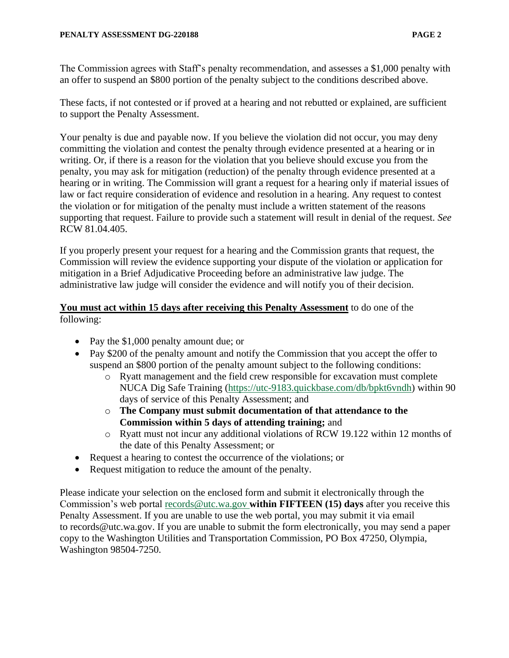The Commission agrees with Staff's penalty recommendation, and assesses a \$1,000 penalty with an offer to suspend an \$800 portion of the penalty subject to the conditions described above.

These facts, if not contested or if proved at a hearing and not rebutted or explained, are sufficient to support the Penalty Assessment.

Your penalty is due and payable now. If you believe the violation did not occur, you may deny committing the violation and contest the penalty through evidence presented at a hearing or in writing. Or, if there is a reason for the violation that you believe should excuse you from the penalty, you may ask for mitigation (reduction) of the penalty through evidence presented at a hearing or in writing. The Commission will grant a request for a hearing only if material issues of law or fact require consideration of evidence and resolution in a hearing. Any request to contest the violation or for mitigation of the penalty must include a written statement of the reasons supporting that request. Failure to provide such a statement will result in denial of the request. *See* RCW 81.04.405.

If you properly present your request for a hearing and the Commission grants that request, the Commission will review the evidence supporting your dispute of the violation or application for mitigation in a Brief Adjudicative Proceeding before an administrative law judge. The administrative law judge will consider the evidence and will notify you of their decision.

## **You must act within 15 days after receiving this Penalty Assessment** to do one of the following:

- Pay the \$1,000 penalty amount due; or
- Pay \$200 of the penalty amount and notify the Commission that you accept the offer to suspend an \$800 portion of the penalty amount subject to the following conditions:
	- o Ryatt management and the field crew responsible for excavation must complete NUCA Dig Safe Training [\(https://utc-9183.quickbase.com/db/bpkt6vndh\)](https://utc-9183.quickbase.com/db/bpkt6vndh) within 90 days of service of this Penalty Assessment; and
	- o **The Company must submit documentation of that attendance to the Commission within 5 days of attending training;** and
	- o Ryatt must not incur any additional violations of RCW 19.122 within 12 months of the date of this Penalty Assessment; or
- Request a hearing to contest the occurrence of the violations; or
- Request mitigation to reduce the amount of the penalty.

Please indicate your selection on the enclosed form and submit it electronically through the Commission's web portal [records@utc.wa.gov](file:///C:/Users/pdoyle215/AppData/Local/Microsoft/Windows/INetCache/Content.Outlook/3MMTRSY0/records@utc.wa.gov) **within FIFTEEN (15) days** after you receive this Penalty Assessment. If you are unable to use the web portal, you may submit it via email to records@utc.wa.gov. If you are unable to submit the form electronically, you may send a paper copy to the Washington Utilities and Transportation Commission, PO Box 47250, Olympia, Washington 98504-7250.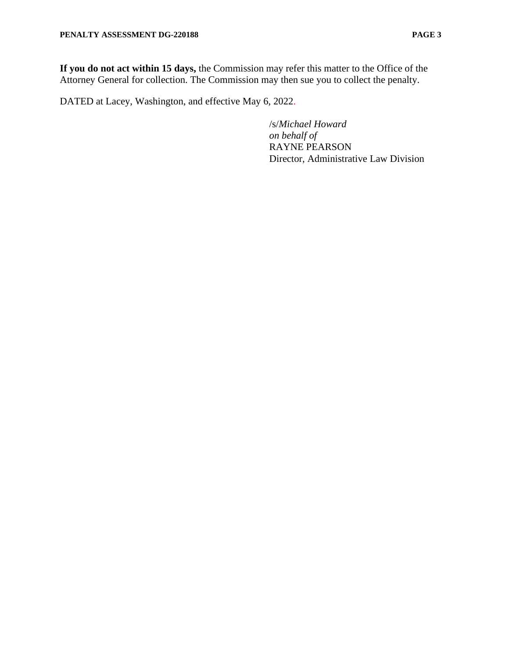**If you do not act within 15 days,** the Commission may refer this matter to the Office of the Attorney General for collection. The Commission may then sue you to collect the penalty.

DATED at Lacey, Washington, and effective May 6, 2022.

/s/*Michael Howard on behalf of* RAYNE PEARSON Director, Administrative Law Division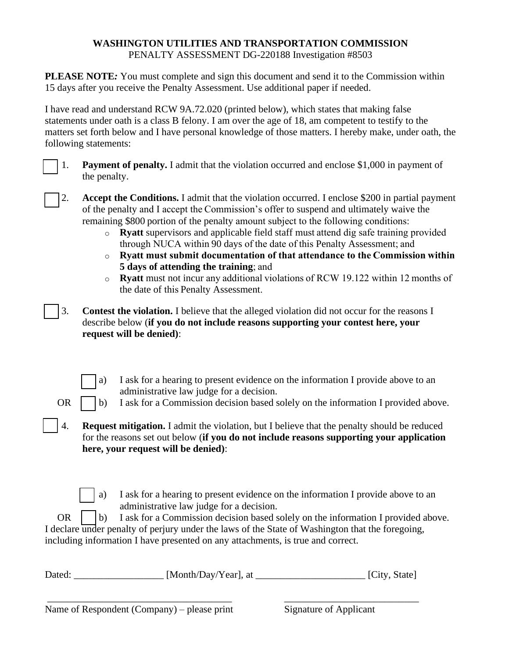# **WASHINGTON UTILITIES AND TRANSPORTATION COMMISSION** PENALTY ASSESSMENT DG-220188 Investigation #8503

**PLEASE NOTE**: You must complete and sign this document and send it to the Commission within 15 days after you receive the Penalty Assessment. Use additional paper if needed.

I have read and understand RCW 9A.72.020 (printed below), which states that making false statements under oath is a class B felony. I am over the age of 18, am competent to testify to the matters set forth below and I have personal knowledge of those matters. I hereby make, under oath, the following statements:

|  | <b>Payment of penalty.</b> I admit that the violation occurred and enclose \$1,000 in payment of |
|--|--------------------------------------------------------------------------------------------------|
|  | the penalty.                                                                                     |

- [ ] 2. **Accept the Conditions.** I admit that the violation occurred. I enclose \$200 in partial payment of the penalty and I accept the Commission's offer to suspend and ultimately waive the remaining \$800 portion of the penalty amount subject to the following conditions:
	- o **Ryatt** supervisors and applicable field staff must attend dig safe training provided through NUCA within 90 days of the date of this Penalty Assessment; and
	- o **Ryatt must submit documentation of that attendance to the Commission within 5 days of attending the training**; and
	- o **Ryatt** must not incur any additional violations of RCW 19.122 within 12 months of the date of this Penalty Assessment.
- [ ] 3. **Contest the violation.** I believe that the alleged violation did not occur for the reasons I describe below (**if you do not include reasons supporting your contest here, your request will be denied)**:
	- a) I ask for a hearing to present evidence on the information I provide above to an administrative law judge for a decision.
	- OR  $\vert$  b) I ask for a Commission decision based solely on the information I provided above.
- [ ] 4. **Request mitigation.** I admit the violation, but I believe that the penalty should be reduced for the reasons set out below (**if you do not include reasons supporting your application here, your request will be denied)**:
	- a) I ask for a hearing to present evidence on the information I provide above to an administrative law judge for a decision.

OR  $\vert$   $\vert$  b) I ask for a Commission decision based solely on the information I provided above. I declare under penalty of perjury under the laws of the State of Washington that the foregoing, including information I have presented on any attachments, is true and correct.

| Dated: | [Month/Day/Year], at |  | [City, State] |
|--------|----------------------|--|---------------|
|--------|----------------------|--|---------------|

\_\_\_\_\_\_\_\_\_\_\_\_\_\_\_\_\_\_\_\_\_\_\_\_\_\_\_\_\_\_\_\_\_\_\_\_\_ \_\_\_\_\_\_\_\_\_\_\_\_\_\_\_\_\_\_\_\_\_\_\_\_\_\_\_